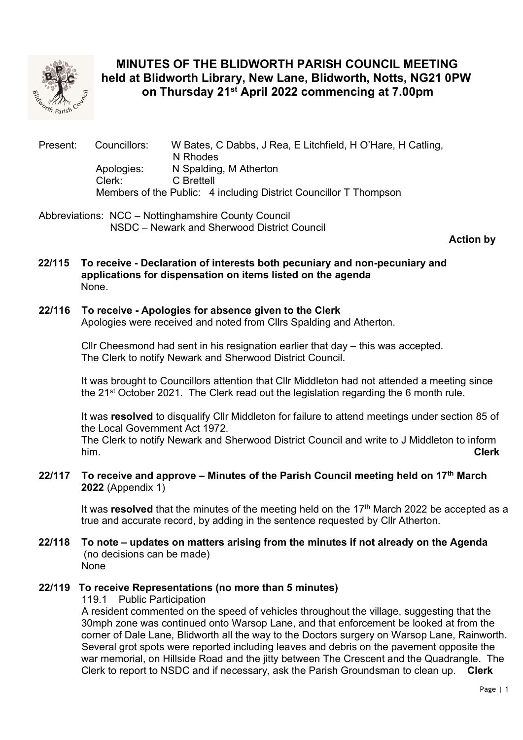

# MINUTES OF THE BLIDWORTH PARISH COUNCIL MEETING held at Blidworth Library, New Lane, Blidworth, Notts, NG21 0PW on Thursday 21<sup>st</sup> April 2022 commencing at 7.00pm

Present: Councillors: W Bates, C Dabbs, J Rea, E Litchfield, H O'Hare, H Catling, N Rhodes Apologies: N Spalding, M Atherton Clerk: C Brettell Members of the Public: 4 including District Councillor T Thompson

Abbreviations: NCC – Nottinghamshire County Council NSDC – Newark and Sherwood District Council

Action by

 22/115 To receive - Declaration of interests both pecuniary and non-pecuniary and applications for dispensation on items listed on the agenda None.

## 22/116 To receive - Apologies for absence given to the Clerk

Apologies were received and noted from Cllrs Spalding and Atherton.

Cllr Cheesmond had sent in his resignation earlier that day – this was accepted. The Clerk to notify Newark and Sherwood District Council.

It was brought to Councillors attention that Cllr Middleton had not attended a meeting since the 21st October 2021. The Clerk read out the legislation regarding the 6 month rule.

It was resolved to disqualify Cllr Middleton for failure to attend meetings under section 85 of the Local Government Act 1972.

The Clerk to notify Newark and Sherwood District Council and write to J Middleton to inform him. **Clerk** 

## 22/117 To receive and approve – Minutes of the Parish Council meeting held on  $17<sup>th</sup>$  March 2022 (Appendix 1)

It was resolved that the minutes of the meeting held on the  $17<sup>th</sup>$  March 2022 be accepted as a true and accurate record, by adding in the sentence requested by Cllr Atherton.

 22/118 To note – updates on matters arising from the minutes if not already on the Agenda (no decisions can be made) None

## 22/119 To receive Representations (no more than 5 minutes)

119.1 Public Participation

 A resident commented on the speed of vehicles throughout the village, suggesting that the 30mph zone was continued onto Warsop Lane, and that enforcement be looked at from the corner of Dale Lane, Blidworth all the way to the Doctors surgery on Warsop Lane, Rainworth. Several grot spots were reported including leaves and debris on the pavement opposite the war memorial, on Hillside Road and the jitty between The Crescent and the Quadrangle. The Clerk to report to NSDC and if necessary, ask the Parish Groundsman to clean up. Clerk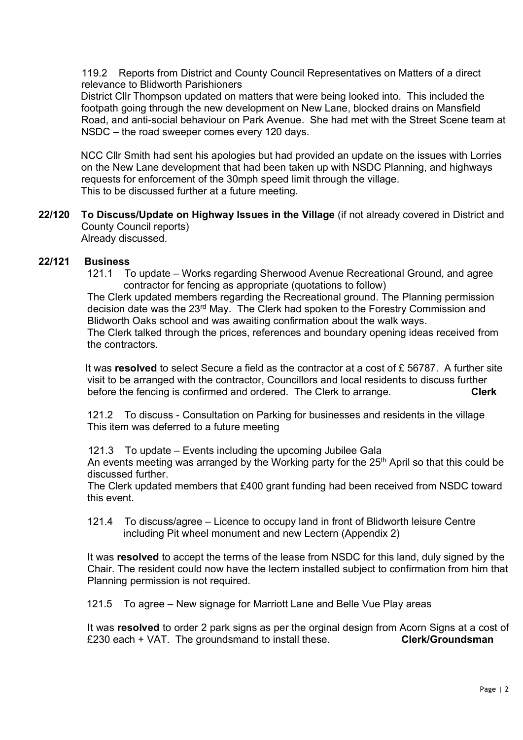119.2 Reports from District and County Council Representatives on Matters of a direct relevance to Blidworth Parishioners

 District Cllr Thompson updated on matters that were being looked into. This included the footpath going through the new development on New Lane, blocked drains on Mansfield Road, and anti-social behaviour on Park Avenue. She had met with the Street Scene team at NSDC – the road sweeper comes every 120 days.

 NCC Cllr Smith had sent his apologies but had provided an update on the issues with Lorries on the New Lane development that had been taken up with NSDC Planning, and highways requests for enforcement of the 30mph speed limit through the village. This to be discussed further at a future meeting.

22/120 To Discuss/Update on Highway Issues in the Village (if not already covered in District and County Council reports) Already discussed.

## 22/121 Business

 121.1 To update – Works regarding Sherwood Avenue Recreational Ground, and agree contractor for fencing as appropriate (quotations to follow)

 The Clerk updated members regarding the Recreational ground. The Planning permission decision date was the 23rd May. The Clerk had spoken to the Forestry Commission and Blidworth Oaks school and was awaiting confirmation about the walk ways. The Clerk talked through the prices, references and boundary opening ideas received from the contractors.

It was resolved to select Secure a field as the contractor at a cost of  $E$  56787. A further site visit to be arranged with the contractor, Councillors and local residents to discuss further before the fencing is confirmed and ordered. The Clerk to arrange. Clerk

 121.2 To discuss - Consultation on Parking for businesses and residents in the village This item was deferred to a future meeting

121.3 To update – Events including the upcoming Jubilee Gala

An events meeting was arranged by the Working party for the 25<sup>th</sup> April so that this could be discussed further.

 The Clerk updated members that £400 grant funding had been received from NSDC toward this event.

 121.4 To discuss/agree – Licence to occupy land in front of Blidworth leisure Centre including Pit wheel monument and new Lectern (Appendix 2)

It was resolved to accept the terms of the lease from NSDC for this land, duly signed by the Chair. The resident could now have the lectern installed subject to confirmation from him that Planning permission is not required.

121.5 To agree – New signage for Marriott Lane and Belle Vue Play areas

It was resolved to order 2 park signs as per the orginal design from Acorn Signs at a cost of £230 each + VAT. The groundsmand to install these. Clerk/Groundsman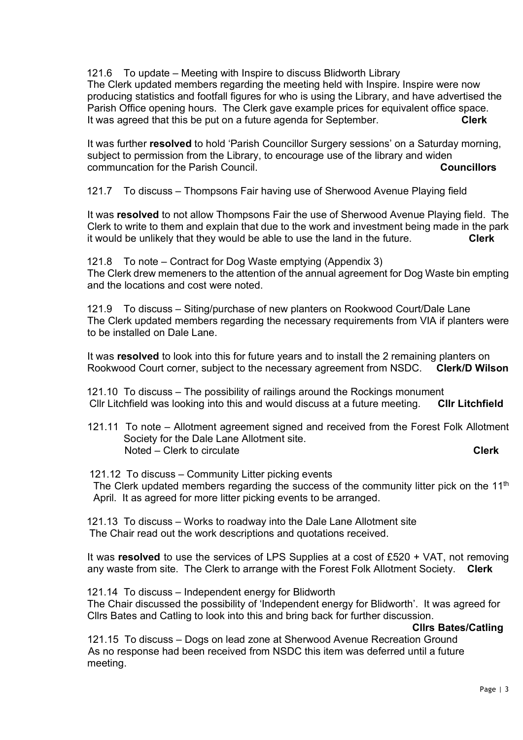121.6 To update – Meeting with Inspire to discuss Blidworth Library The Clerk updated members regarding the meeting held with Inspire. Inspire were now producing statistics and footfall figures for who is using the Library, and have advertised the Parish Office opening hours. The Clerk gave example prices for equivalent office space. It was agreed that this be put on a future agenda for September. Clerk

It was further resolved to hold 'Parish Councillor Surgery sessions' on a Saturday morning, subject to permission from the Library, to encourage use of the library and widen communcation for the Parish Council. Council communcation for the Parish Council.

121.7 To discuss – Thompsons Fair having use of Sherwood Avenue Playing field

It was resolved to not allow Thompsons Fair the use of Sherwood Avenue Playing field. The Clerk to write to them and explain that due to the work and investment being made in the park it would be unlikely that they would be able to use the land in the future.  $\overline{\phantom{a}}$  Clerk

 121.8 To note – Contract for Dog Waste emptying (Appendix 3) The Clerk drew memeners to the attention of the annual agreement for Dog Waste bin empting and the locations and cost were noted.

 121.9 To discuss – Siting/purchase of new planters on Rookwood Court/Dale Lane The Clerk updated members regarding the necessary requirements from VIA if planters were to be installed on Dale Lane.

It was resolved to look into this for future years and to install the 2 remaining planters on Rookwood Court corner, subject to the necessary agreement from NSDC. Clerk/D Wilson

 121.10 To discuss – The possibility of railings around the Rockings monument Cllr Litchfield was looking into this and would discuss at a future meeting. Cllr Litchfield

121.11 To note – Allotment agreement signed and received from the Forest Folk Allotment Society for the Dale Lane Allotment site. Noted – Clerk to circulate Clerk Clerk Clerk Clerk Clerk Clerk Clerk

 121.12 To discuss – Community Litter picking events The Clerk updated members regarding the success of the community litter pick on the 11<sup>th</sup> April. It as agreed for more litter picking events to be arranged.

 121.13 To discuss – Works to roadway into the Dale Lane Allotment site The Chair read out the work descriptions and quotations received.

It was resolved to use the services of LPS Supplies at a cost of £520 + VAT, not removing any waste from site. The Clerk to arrange with the Forest Folk Allotment Society. Clerk

 121.14 To discuss – Independent energy for Blidworth The Chair discussed the possibility of 'Independent energy for Blidworth'. It was agreed for Cllrs Bates and Catling to look into this and bring back for further discussion.

Cllrs Bates/Catling

 121.15 To discuss – Dogs on lead zone at Sherwood Avenue Recreation Ground As no response had been received from NSDC this item was deferred until a future meeting.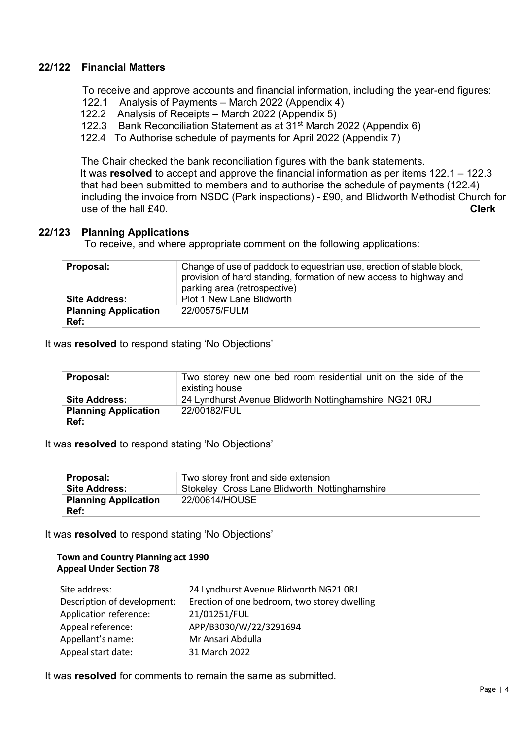## 22/122 Financial Matters

To receive and approve accounts and financial information, including the year-end figures:

- 122.1 Analysis of Payments March 2022 (Appendix 4)
- 122.2 Analysis of Receipts March 2022 (Appendix 5)
- 122.3 Bank Reconciliation Statement as at 31st March 2022 (Appendix 6)
- 122.4 To Authorise schedule of payments for April 2022 (Appendix 7)

 The Chair checked the bank reconciliation figures with the bank statements. It was resolved to accept and approve the financial information as per items  $122.1 - 122.3$  that had been submitted to members and to authorise the schedule of payments (122.4) including the invoice from NSDC (Park inspections) - £90, and Blidworth Methodist Church for use of the hall £40. Clerk

## 22/123 Planning Applications

To receive, and where appropriate comment on the following applications:

| <b>Proposal:</b>                    | Change of use of paddock to equestrian use, erection of stable block,<br>provision of hard standing, formation of new access to highway and<br>parking area (retrospective) |
|-------------------------------------|-----------------------------------------------------------------------------------------------------------------------------------------------------------------------------|
| <b>Site Address:</b>                | <b>Plot 1 New Lane Blidworth</b>                                                                                                                                            |
| <b>Planning Application</b><br>Ref: | 22/00575/FULM                                                                                                                                                               |

It was resolved to respond stating 'No Objections'

| Proposal:                           | Two storey new one bed room residential unit on the side of the<br>existing house |
|-------------------------------------|-----------------------------------------------------------------------------------|
| <b>Site Address:</b>                | 24 Lyndhurst Avenue Blidworth Nottinghamshire NG21 0RJ                            |
| <b>Planning Application</b><br>Ref: | 22/00182/FUL                                                                      |

## It was resolved to respond stating 'No Objections'

| Proposal:                   | Two storey front and side extension           |
|-----------------------------|-----------------------------------------------|
| <b>Site Address:</b>        | Stokeley Cross Lane Blidworth Nottinghamshire |
| <b>Planning Application</b> | 22/00614/HOUSE                                |
| Ref:                        |                                               |

It was resolved to respond stating 'No Objections'

#### Town and Country Planning act 1990 Appeal Under Section 78

| Site address:               | 24 Lyndhurst Avenue Blidworth NG21 ORJ       |
|-----------------------------|----------------------------------------------|
| Description of development: | Erection of one bedroom, two storey dwelling |
| Application reference:      | 21/01251/FUL                                 |
| Appeal reference:           | APP/B3030/W/22/3291694                       |
| Appellant's name:           | Mr Ansari Abdulla                            |
| Appeal start date:          | 31 March 2022                                |

It was resolved for comments to remain the same as submitted.